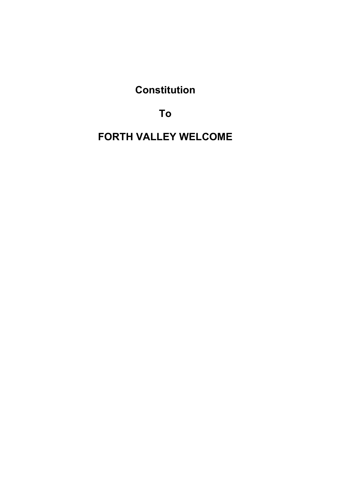**Constitution** 

To

FORTH VALLEY WELCOME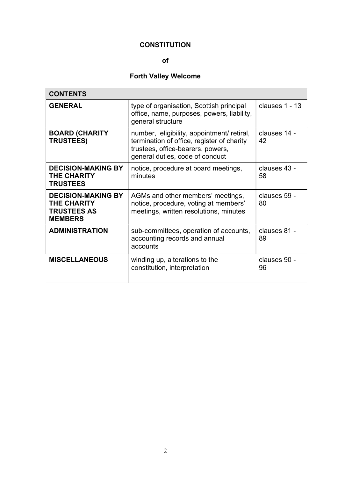# **CONSTITUTION**

## of

# Forth Valley Welcome

| <b>CONTENTS</b>                                                                  |                                                                                                                                                                  |                    |
|----------------------------------------------------------------------------------|------------------------------------------------------------------------------------------------------------------------------------------------------------------|--------------------|
| <b>GENERAL</b>                                                                   | type of organisation, Scottish principal<br>office, name, purposes, powers, liability,<br>general structure                                                      | clauses 1 - 13     |
| <b>BOARD (CHARITY</b><br><b>TRUSTEES)</b>                                        | number, eligibility, appointment/ retiral,<br>termination of office, register of charity<br>trustees, office-bearers, powers,<br>general duties, code of conduct | clauses 14 -<br>42 |
| <b>DECISION-MAKING BY</b><br><b>THE CHARITY</b><br><b>TRUSTEES</b>               | notice, procedure at board meetings,<br>minutes                                                                                                                  | clauses 43 -<br>58 |
| <b>DECISION-MAKING BY</b><br>THE CHARITY<br><b>TRUSTEES AS</b><br><b>MEMBERS</b> | AGMs and other members' meetings,<br>notice, procedure, voting at members'<br>meetings, written resolutions, minutes                                             | clauses 59 -<br>80 |
| <b>ADMINISTRATION</b>                                                            | sub-committees, operation of accounts,<br>accounting records and annual<br>accounts                                                                              | clauses 81 -<br>89 |
| <b>MISCELLANEOUS</b>                                                             | winding up, alterations to the<br>constitution, interpretation                                                                                                   | clauses 90 -<br>96 |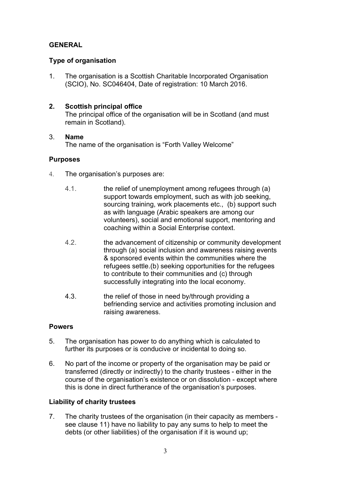## GENERAL

## Type of organisation

1. The organisation is a Scottish Charitable Incorporated Organisation (SCIO), No. SC046404, Date of registration: 10 March 2016.

## 2. Scottish principal office

The principal office of the organisation will be in Scotland (and must remain in Scotland).

## 3. Name

The name of the organisation is "Forth Valley Welcome"

## **Purposes**

- 4. The organisation's purposes are:
	- 4.1. the relief of unemployment among refugees through (a) support towards employment, such as with job seeking, sourcing training, work placements etc., (b) support such as with language (Arabic speakers are among our volunteers), social and emotional support, mentoring and coaching within a Social Enterprise context.
	- 4.2. the advancement of citizenship or community development through (a) social inclusion and awareness raising events & sponsored events within the communities where the refugees settle.(b) seeking opportunities for the refugees to contribute to their communities and (c) through successfully integrating into the local economy.
	- 4.3. the relief of those in need by/through providing a befriending service and activities promoting inclusion and raising awareness.

## Powers

- 5. The organisation has power to do anything which is calculated to further its purposes or is conducive or incidental to doing so.
- 6. No part of the income or property of the organisation may be paid or transferred (directly or indirectly) to the charity trustees - either in the course of the organisation's existence or on dissolution - except where this is done in direct furtherance of the organisation's purposes.

## Liability of charity trustees

7. The charity trustees of the organisation (in their capacity as members see clause 11) have no liability to pay any sums to help to meet the debts (or other liabilities) of the organisation if it is wound up;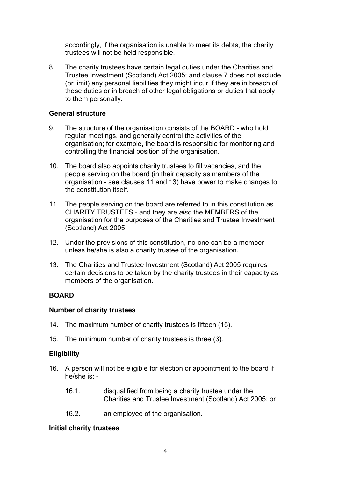accordingly, if the organisation is unable to meet its debts, the charity trustees will not be held responsible.

8. The charity trustees have certain legal duties under the Charities and Trustee Investment (Scotland) Act 2005; and clause 7 does not exclude (or limit) any personal liabilities they might incur if they are in breach of those duties or in breach of other legal obligations or duties that apply to them personally.

## General structure

- 9. The structure of the organisation consists of the BOARD who hold regular meetings, and generally control the activities of the organisation; for example, the board is responsible for monitoring and controlling the financial position of the organisation.
- 10. The board also appoints charity trustees to fill vacancies, and the people serving on the board (in their capacity as members of the organisation - see clauses 11 and 13) have power to make changes to the constitution itself.
- 11. The people serving on the board are referred to in this constitution as CHARITY TRUSTEES - and they are also the MEMBERS of the organisation for the purposes of the Charities and Trustee Investment (Scotland) Act 2005.
- 12. Under the provisions of this constitution, no-one can be a member unless he/she is also a charity trustee of the organisation.
- 13. The Charities and Trustee Investment (Scotland) Act 2005 requires certain decisions to be taken by the charity trustees in their capacity as members of the organisation.

## **BOARD**

## Number of charity trustees

- 14. The maximum number of charity trustees is fifteen (15).
- 15. The minimum number of charity trustees is three (3).

## **Eligibility**

- 16. A person will not be eligible for election or appointment to the board if he/she is: -
	- 16.1. disqualified from being a charity trustee under the Charities and Trustee Investment (Scotland) Act 2005; or
	- 16.2. an employee of the organisation.

## Initial charity trustees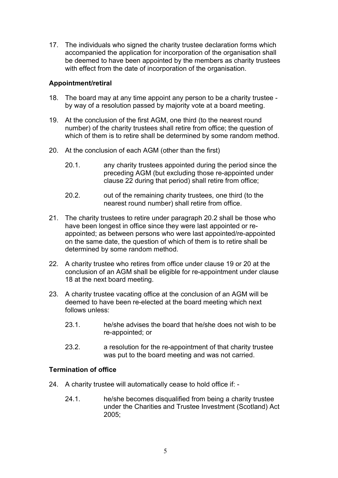17. The individuals who signed the charity trustee declaration forms which accompanied the application for incorporation of the organisation shall be deemed to have been appointed by the members as charity trustees with effect from the date of incorporation of the organisation.

## Appointment/retiral

- 18. The board may at any time appoint any person to be a charity trustee by way of a resolution passed by majority vote at a board meeting.
- 19. At the conclusion of the first AGM, one third (to the nearest round number) of the charity trustees shall retire from office; the question of which of them is to retire shall be determined by some random method.
- 20. At the conclusion of each AGM (other than the first)
	- 20.1. any charity trustees appointed during the period since the preceding AGM (but excluding those re-appointed under clause 22 during that period) shall retire from office;
	- 20.2. out of the remaining charity trustees, one third (to the nearest round number) shall retire from office.
- 21. The charity trustees to retire under paragraph 20.2 shall be those who have been longest in office since they were last appointed or reappointed; as between persons who were last appointed/re-appointed on the same date, the question of which of them is to retire shall be determined by some random method.
- 22. A charity trustee who retires from office under clause 19 or 20 at the conclusion of an AGM shall be eligible for re-appointment under clause 18 at the next board meeting.
- 23. A charity trustee vacating office at the conclusion of an AGM will be deemed to have been re-elected at the board meeting which next follows unless:
	- 23.1. he/she advises the board that he/she does not wish to be re-appointed; or
	- 23.2. a resolution for the re-appointment of that charity trustee was put to the board meeting and was not carried.

## Termination of office

- 24. A charity trustee will automatically cease to hold office if:
	- 24.1. he/she becomes disqualified from being a charity trustee under the Charities and Trustee Investment (Scotland) Act 2005;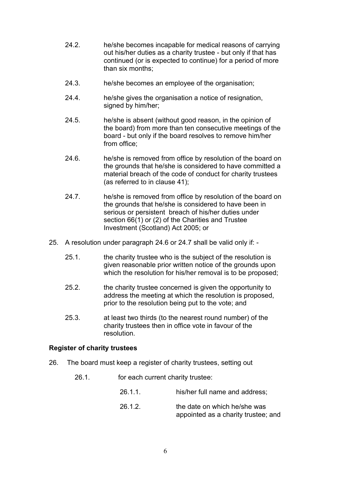- 24.2. he/she becomes incapable for medical reasons of carrying out his/her duties as a charity trustee - but only if that has continued (or is expected to continue) for a period of more than six months;
- 24.3. he/she becomes an employee of the organisation;
- 24.4. he/she gives the organisation a notice of resignation, signed by him/her;
- 24.5. he/she is absent (without good reason, in the opinion of the board) from more than ten consecutive meetings of the board - but only if the board resolves to remove him/her from office;
- 24.6. he/she is removed from office by resolution of the board on the grounds that he/she is considered to have committed a material breach of the code of conduct for charity trustees (as referred to in clause 41);
- 24.7. he/she is removed from office by resolution of the board on the grounds that he/she is considered to have been in serious or persistent breach of his/her duties under section 66(1) or (2) of the Charities and Trustee Investment (Scotland) Act 2005; or
- 25. A resolution under paragraph 24.6 or 24.7 shall be valid only if:
	- 25.1. the charity trustee who is the subject of the resolution is given reasonable prior written notice of the grounds upon which the resolution for his/her removal is to be proposed;
	- 25.2. the charity trustee concerned is given the opportunity to address the meeting at which the resolution is proposed, prior to the resolution being put to the vote; and
	- 25.3. at least two thirds (to the nearest round number) of the charity trustees then in office vote in favour of the resolution.

## Register of charity trustees

- 26. The board must keep a register of charity trustees, setting out
	- 26.1. for each current charity trustee:
		- 26.1.1. his/her full name and address; 26.1.2. The date on which he/she was appointed as a charity trustee; and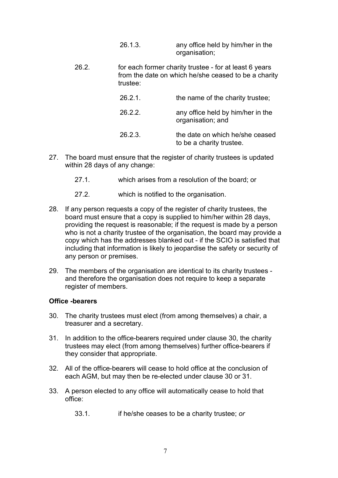- 26.1.3. any office held by him/her in the organisation;
- 26.2. for each former charity trustee for at least 6 years from the date on which he/she ceased to be a charity trustee:

| 26.2.1  | the name of the charity trustee;                            |
|---------|-------------------------------------------------------------|
| 26.2.2. | any office held by him/her in the<br>organisation; and      |
| 26.2.3. | the date on which he/she ceased<br>to be a charity trustee. |

- 27. The board must ensure that the register of charity trustees is updated within 28 days of any change:
	- 27.1. which arises from a resolution of the board; or
	- 27.2. which is notified to the organisation.
- 28. If any person requests a copy of the register of charity trustees, the board must ensure that a copy is supplied to him/her within 28 days, providing the request is reasonable; if the request is made by a person who is not a charity trustee of the organisation, the board may provide a copy which has the addresses blanked out - if the SCIO is satisfied that including that information is likely to jeopardise the safety or security of any person or premises.
- 29. The members of the organisation are identical to its charity trustees and therefore the organisation does not require to keep a separate register of members.

#### Office -bearers

- 30. The charity trustees must elect (from among themselves) a chair, a treasurer and a secretary.
- 31. In addition to the office-bearers required under clause 30, the charity trustees may elect (from among themselves) further office-bearers if they consider that appropriate.
- 32. All of the office-bearers will cease to hold office at the conclusion of each AGM, but may then be re-elected under clause 30 or 31.
- 33. A person elected to any office will automatically cease to hold that office:
	- 33.1. if he/she ceases to be a charity trustee; or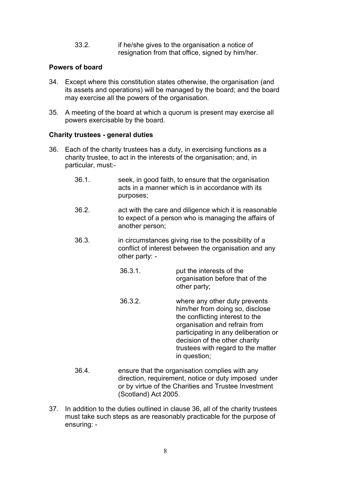33.2. if he/she gives to the organisation a notice of resignation from that office, signed by him/her.

## Powers of board

- 34. Except where this constitution states otherwise, the organisation (and its assets and operations) will be managed by the board; and the board may exercise all the powers of the organisation.
- 35. A meeting of the board at which a quorum is present may exercise all powers exercisable by the board.

#### Charity trustees - general duties

- 36. Each of the charity trustees has a duty, in exercising functions as a charity trustee, to act in the interests of the organisation; and, in particular, must:-
	- 36.1. seek, in good faith, to ensure that the organisation acts in a manner which is in accordance with its purposes;
	- 36.2. act with the care and diligence which it is reasonable to expect of a person who is managing the affairs of another person;
	- 36.3. in circumstances giving rise to the possibility of a conflict of interest between the organisation and any other party: -
		- 36.3.1. put the interests of the organisation before that of the other party;
		- 36.3.2. where any other duty prevents him/her from doing so, disclose the conflicting interest to the organisation and refrain from participating in any deliberation or decision of the other charity trustees with regard to the matter in question;
	- 36.4. ensure that the organisation complies with any direction, requirement, notice or duty imposed under or by virtue of the Charities and Trustee Investment (Scotland) Act 2005.
- 37. In addition to the duties outlined in clause 36, all of the charity trustees must take such steps as are reasonably practicable for the purpose of ensuring: -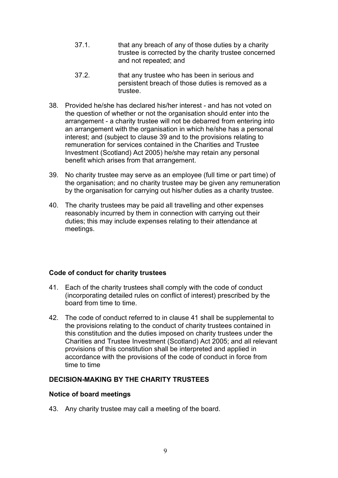- 37.1. that any breach of any of those duties by a charity trustee is corrected by the charity trustee concerned and not repeated; and
- 37.2. that any trustee who has been in serious and persistent breach of those duties is removed as a trustee.
- 38. Provided he/she has declared his/her interest and has not voted on the question of whether or not the organisation should enter into the arrangement - a charity trustee will not be debarred from entering into an arrangement with the organisation in which he/she has a personal interest; and (subject to clause 39 and to the provisions relating to remuneration for services contained in the Charities and Trustee Investment (Scotland) Act 2005) he/she may retain any personal benefit which arises from that arrangement.
- 39. No charity trustee may serve as an employee (full time or part time) of the organisation; and no charity trustee may be given any remuneration by the organisation for carrying out his/her duties as a charity trustee.
- 40. The charity trustees may be paid all travelling and other expenses reasonably incurred by them in connection with carrying out their duties; this may include expenses relating to their attendance at meetings.

## Code of conduct for charity trustees

- 41. Each of the charity trustees shall comply with the code of conduct (incorporating detailed rules on conflict of interest) prescribed by the board from time to time.
- 42. The code of conduct referred to in clause 41 shall be supplemental to the provisions relating to the conduct of charity trustees contained in this constitution and the duties imposed on charity trustees under the Charities and Trustee Investment (Scotland) Act 2005; and all relevant provisions of this constitution shall be interpreted and applied in accordance with the provisions of the code of conduct in force from time to time

## DECISION-MAKING BY THE CHARITY TRUSTEES

## Notice of board meetings

43. Any charity trustee may call a meeting of the board.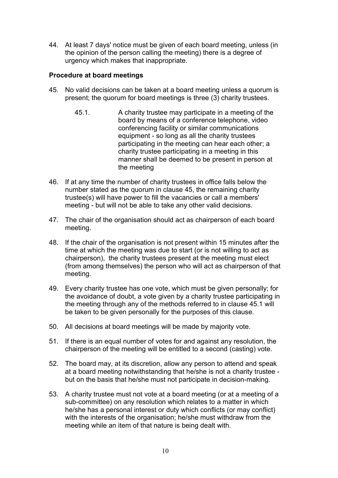44. At least 7 days' notice must be given of each board meeting, unless (in the opinion of the person calling the meeting) there is a degree of urgency which makes that inappropriate.

## Procedure at board meetings

- 45. No valid decisions can be taken at a board meeting unless a quorum is present; the quorum for board meetings is three (3) charity trustees.
	- 45.1. A charity trustee may participate in a meeting of the board by means of a conference telephone, video conferencing facility or similar communications equipment - so long as all the charity trustees participating in the meeting can hear each other; a charity trustee participating in a meeting in this manner shall be deemed to be present in person at the meeting
- 46. If at any time the number of charity trustees in office falls below the number stated as the quorum in clause 45, the remaining charity trustee(s) will have power to fill the vacancies or call a members' meeting - but will not be able to take any other valid decisions.
- 47. The chair of the organisation should act as chairperson of each board meeting.
- 48. If the chair of the organisation is not present within 15 minutes after the time at which the meeting was due to start (or is not willing to act as chairperson), the charity trustees present at the meeting must elect (from among themselves) the person who will act as chairperson of that meeting.
- 49. Every charity trustee has one vote, which must be given personally; for the avoidance of doubt, a vote given by a charity trustee participating in the meeting through any of the methods referred to in clause 45.1 will be taken to be given personally for the purposes of this clause.
- 50. All decisions at board meetings will be made by majority vote.
- 51. If there is an equal number of votes for and against any resolution, the chairperson of the meeting will be entitled to a second (casting) vote.
- 52. The board may, at its discretion, allow any person to attend and speak at a board meeting notwithstanding that he/she is not a charity trustee but on the basis that he/she must not participate in decision-making.
- 53. A charity trustee must not vote at a board meeting (or at a meeting of a sub-committee) on any resolution which relates to a matter in which he/she has a personal interest or duty which conflicts (or may conflict) with the interests of the organisation; he/she must withdraw from the meeting while an item of that nature is being dealt with.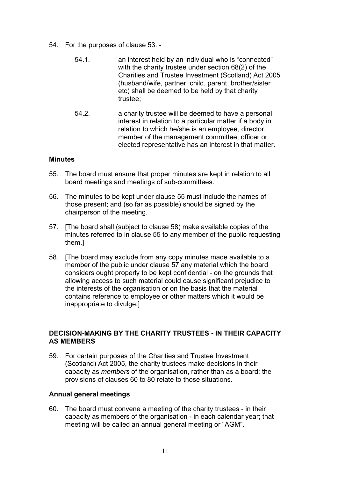- 54. For the purposes of clause 53:
	- 54.1. an interest held by an individual who is "connected" with the charity trustee under section 68(2) of the Charities and Trustee Investment (Scotland) Act 2005 (husband/wife, partner, child, parent, brother/sister etc) shall be deemed to be held by that charity trustee;
	- 54.2. a charity trustee will be deemed to have a personal interest in relation to a particular matter if a body in relation to which he/she is an employee, director, member of the management committee, officer or elected representative has an interest in that matter.

## **Minutes**

- 55. The board must ensure that proper minutes are kept in relation to all board meetings and meetings of sub-committees.
- 56. The minutes to be kept under clause 55 must include the names of those present; and (so far as possible) should be signed by the chairperson of the meeting.
- 57. [The board shall (subject to clause 58) make available copies of the minutes referred to in clause 55 to any member of the public requesting them.]
- 58. [The board may exclude from any copy minutes made available to a member of the public under clause 57 any material which the board considers ought properly to be kept confidential - on the grounds that allowing access to such material could cause significant prejudice to the interests of the organisation or on the basis that the material contains reference to employee or other matters which it would be inappropriate to divulge.]

## DECISION-MAKING BY THE CHARITY TRUSTEES - IN THEIR CAPACITY AS MEMBERS

59. For certain purposes of the Charities and Trustee Investment (Scotland) Act 2005, the charity trustees make decisions in their capacity as members of the organisation, rather than as a board; the provisions of clauses 60 to 80 relate to those situations.

## Annual general meetings

60. The board must convene a meeting of the charity trustees - in their capacity as members of the organisation - in each calendar year; that meeting will be called an annual general meeting or "AGM".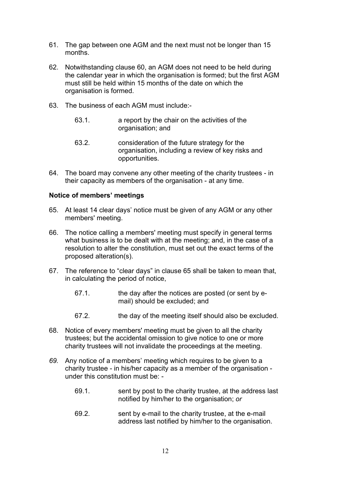- 61. The gap between one AGM and the next must not be longer than 15 months.
- 62. Notwithstanding clause 60, an AGM does not need to be held during the calendar year in which the organisation is formed; but the first AGM must still be held within 15 months of the date on which the organisation is formed.
- 63. The business of each AGM must include:-
	- 63.1. a report by the chair on the activities of the organisation; and
	- 63.2. consideration of the future strategy for the organisation, including a review of key risks and opportunities.
- 64. The board may convene any other meeting of the charity trustees in their capacity as members of the organisation - at any time.

## Notice of members' meetings

- 65. At least 14 clear days' notice must be given of any AGM or any other members' meeting.
- 66. The notice calling a members' meeting must specify in general terms what business is to be dealt with at the meeting; and, in the case of a resolution to alter the constitution, must set out the exact terms of the proposed alteration(s).
- 67. The reference to "clear days" in clause 65 shall be taken to mean that, in calculating the period of notice,
	- 67.1. the day after the notices are posted (or sent by email) should be excluded; and
	- 67.2. the day of the meeting itself should also be excluded.
- 68. Notice of every members' meeting must be given to all the charity trustees; but the accidental omission to give notice to one or more charity trustees will not invalidate the proceedings at the meeting.
- 69. Any notice of a members' meeting which requires to be given to a charity trustee - in his/her capacity as a member of the organisation under this constitution must be: -
	- 69.1. sent by post to the charity trustee, at the address last notified by him/her to the organisation; or
	- 69.2. sent by e-mail to the charity trustee, at the e-mail address last notified by him/her to the organisation.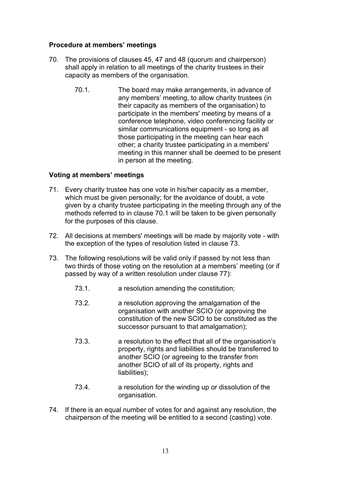## Procedure at members' meetings

- 70. The provisions of clauses 45, 47 and 48 (quorum and chairperson) shall apply in relation to all meetings of the charity trustees in their capacity as members of the organisation.
	- 70.1. The board may make arrangements, in advance of any members' meeting, to allow charity trustees (in their capacity as members of the organisation) to participate in the members' meeting by means of a conference telephone, video conferencing facility or similar communications equipment - so long as all those participating in the meeting can hear each other; a charity trustee participating in a members' meeting in this manner shall be deemed to be present in person at the meeting.

## Voting at members' meetings

- 71. Every charity trustee has one vote in his/her capacity as a member, which must be given personally; for the avoidance of doubt, a vote given by a charity trustee participating in the meeting through any of the methods referred to in clause 70.1 will be taken to be given personally for the purposes of this clause.
- 72. All decisions at members' meetings will be made by majority vote with the exception of the types of resolution listed in clause 73.
- 73. The following resolutions will be valid only if passed by not less than two thirds of those voting on the resolution at a members' meeting (or if passed by way of a written resolution under clause 77):
	- 73.1. a resolution amending the constitution;
	- 73.2. a resolution approving the amalgamation of the organisation with another SCIO (or approving the constitution of the new SCIO to be constituted as the successor pursuant to that amalgamation);
	- 73.3. a resolution to the effect that all of the organisation's property, rights and liabilities should be transferred to another SCIO (or agreeing to the transfer from another SCIO of all of its property, rights and liabilities);
	- 73.4. a resolution for the winding up or dissolution of the organisation.
- 74. If there is an equal number of votes for and against any resolution, the chairperson of the meeting will be entitled to a second (casting) vote.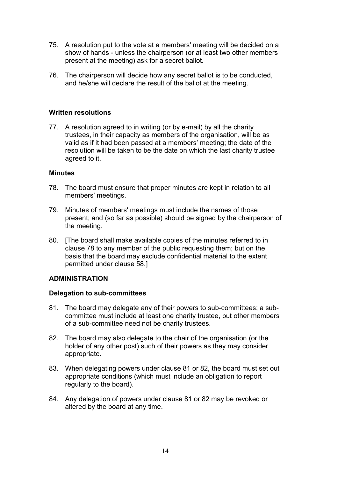- 75. A resolution put to the vote at a members' meeting will be decided on a show of hands - unless the chairperson (or at least two other members present at the meeting) ask for a secret ballot.
- 76. The chairperson will decide how any secret ballot is to be conducted, and he/she will declare the result of the ballot at the meeting.

## Written resolutions

77. A resolution agreed to in writing (or by e-mail) by all the charity trustees, in their capacity as members of the organisation, will be as valid as if it had been passed at a members' meeting; the date of the resolution will be taken to be the date on which the last charity trustee agreed to it.

## **Minutes**

- 78. The board must ensure that proper minutes are kept in relation to all members' meetings.
- 79. Minutes of members' meetings must include the names of those present; and (so far as possible) should be signed by the chairperson of the meeting.
- 80. [The board shall make available copies of the minutes referred to in clause 78 to any member of the public requesting them; but on the basis that the board may exclude confidential material to the extent permitted under clause 58.]

## ADMINISTRATION

## Delegation to sub-committees

- 81. The board may delegate any of their powers to sub-committees; a subcommittee must include at least one charity trustee, but other members of a sub-committee need not be charity trustees.
- 82. The board may also delegate to the chair of the organisation (or the holder of any other post) such of their powers as they may consider appropriate.
- 83. When delegating powers under clause 81 or 82, the board must set out appropriate conditions (which must include an obligation to report regularly to the board).
- 84. Any delegation of powers under clause 81 or 82 may be revoked or altered by the board at any time.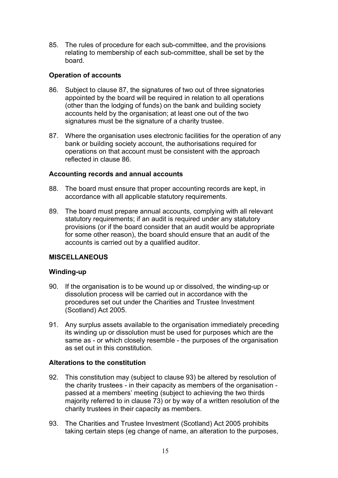85. The rules of procedure for each sub-committee, and the provisions relating to membership of each sub-committee, shall be set by the board.

## Operation of accounts

- 86. Subject to clause 87, the signatures of two out of three signatories appointed by the board will be required in relation to all operations (other than the lodging of funds) on the bank and building society accounts held by the organisation; at least one out of the two signatures must be the signature of a charity trustee.
- 87. Where the organisation uses electronic facilities for the operation of any bank or building society account, the authorisations required for operations on that account must be consistent with the approach reflected in clause 86.

## Accounting records and annual accounts

- 88. The board must ensure that proper accounting records are kept, in accordance with all applicable statutory requirements.
- 89. The board must prepare annual accounts, complying with all relevant statutory requirements; if an audit is required under any statutory provisions (or if the board consider that an audit would be appropriate for some other reason), the board should ensure that an audit of the accounts is carried out by a qualified auditor.

## **MISCELLANEOUS**

## Winding-up

- 90. If the organisation is to be wound up or dissolved, the winding-up or dissolution process will be carried out in accordance with the procedures set out under the Charities and Trustee Investment (Scotland) Act 2005.
- 91. Any surplus assets available to the organisation immediately preceding its winding up or dissolution must be used for purposes which are the same as - or which closely resemble - the purposes of the organisation as set out in this constitution.

## Alterations to the constitution

- 92. This constitution may (subject to clause 93) be altered by resolution of the charity trustees - in their capacity as members of the organisation passed at a members' meeting (subject to achieving the two thirds majority referred to in clause 73) or by way of a written resolution of the charity trustees in their capacity as members.
- 93. The Charities and Trustee Investment (Scotland) Act 2005 prohibits taking certain steps (eg change of name, an alteration to the purposes,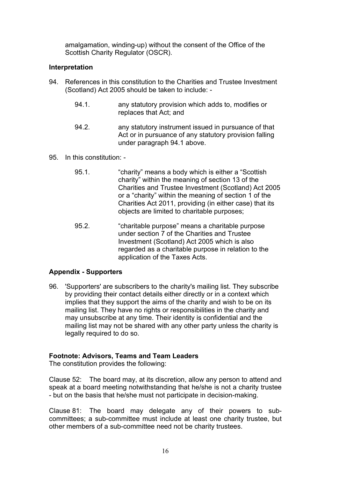amalgamation, winding-up) without the consent of the Office of the Scottish Charity Regulator (OSCR).

## Interpretation

- 94. References in this constitution to the Charities and Trustee Investment (Scotland) Act 2005 should be taken to include: -
	- 94.1. any statutory provision which adds to, modifies or replaces that Act; and
	- 94.2. any statutory instrument issued in pursuance of that Act or in pursuance of any statutory provision falling under paragraph 94.1 above.
- 95. In this constitution:
	- 95.1. "charity" means a body which is either a "Scottish charity" within the meaning of section 13 of the Charities and Trustee Investment (Scotland) Act 2005 or a "charity" within the meaning of section 1 of the Charities Act 2011, providing (in either case) that its objects are limited to charitable purposes;
	- 95.2. "charitable purpose" means a charitable purpose under section 7 of the Charities and Trustee Investment (Scotland) Act 2005 which is also regarded as a charitable purpose in relation to the application of the Taxes Acts.

## Appendix - Supporters

96. 'Supporters' are subscribers to the charity's mailing list. They subscribe by providing their contact details either directly or in a context which implies that they support the aims of the charity and wish to be on its mailing list. They have no rights or responsibilities in the charity and may unsubscribe at any time. Their identity is confidential and the mailing list may not be shared with any other party unless the charity is legally required to do so.

## Footnote: Advisors, Teams and Team Leaders

The constitution provides the following:

Clause 52: The board may, at its discretion, allow any person to attend and speak at a board meeting notwithstanding that he/she is not a charity trustee - but on the basis that he/she must not participate in decision-making.

Clause 81: The board may delegate any of their powers to subcommittees; a sub-committee must include at least one charity trustee, but other members of a sub-committee need not be charity trustees.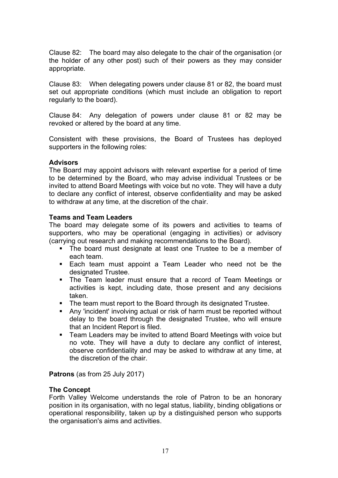Clause 82: The board may also delegate to the chair of the organisation (or the holder of any other post) such of their powers as they may consider appropriate.

Clause 83: When delegating powers under clause 81 or 82, the board must set out appropriate conditions (which must include an obligation to report regularly to the board).

Clause 84: Any delegation of powers under clause 81 or 82 may be revoked or altered by the board at any time.

Consistent with these provisions, the Board of Trustees has deployed supporters in the following roles:

## Advisors

The Board may appoint advisors with relevant expertise for a period of time to be determined by the Board, who may advise individual Trustees or be invited to attend Board Meetings with voice but no vote. They will have a duty to declare any conflict of interest, observe confidentiality and may be asked to withdraw at any time, at the discretion of the chair.

## Teams and Team Leaders

The board may delegate some of its powers and activities to teams of supporters, who may be operational (engaging in activities) or advisory (carrying out research and making recommendations to the Board).

- The board must designate at least one Trustee to be a member of each team.
- Each team must appoint a Team Leader who need not be the designated Trustee.
- The Team leader must ensure that a record of Team Meetings or activities is kept, including date, those present and any decisions taken.
- The team must report to the Board through its designated Trustee.
- Any 'incident' involving actual or risk of harm must be reported without delay to the board through the designated Trustee, who will ensure that an Incident Report is filed.
- Team Leaders may be invited to attend Board Meetings with voice but no vote. They will have a duty to declare any conflict of interest, observe confidentiality and may be asked to withdraw at any time, at the discretion of the chair.

Patrons (as from 25 July 2017)

## The Concept

Forth Valley Welcome understands the role of Patron to be an honorary position in its organisation, with no legal status, liability, binding obligations or operational responsibility, taken up by a distinguished person who supports the organisation's aims and activities.